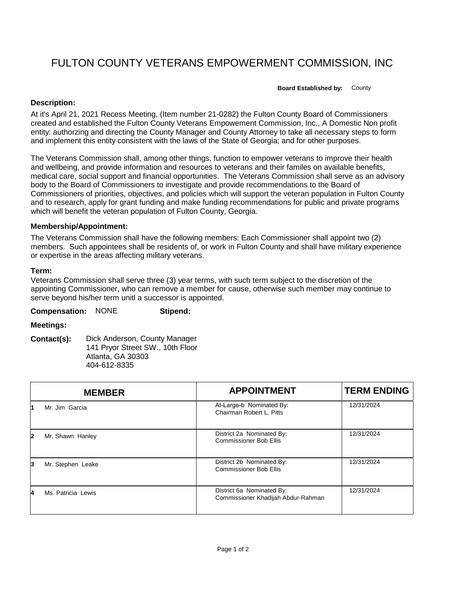# FULTON COUNTY VETERANS EMPOWERMENT COMMISSION, INC

**Board Established by:** County

### **Description:**

At it's April 21, 2021 Recess Meeting, (Item number 21-0282) the Fulton County Board of Commissioners created and established the Fulton County Veterans Empowement Commission, Inc., A Domestic Non profit entity: authorzing and directing the County Manager and County Attorney to take all necessary steps to form and implement this entity consistent with the laws of the State of Georgia; and for other purposes.

The Veterans Commission shall, among other things, function to empower veterans to improve their health and wellbeing, and provide information and resources to veterans and their familes on available benefits, medical care, social support and financial opportunities. The Veterans Commission shall serve as an advisory body to the Board of Commissioners to investigate and provide recommendations to the Board of Commissioners of priorities, objectives, and policies which will support the veteran population in Fulton County and to research, apply for grant funding and make funding recommendations for public and private programs which will benefit the veteran population of Fulton County, Georgia.

#### **Membership/Appointment:**

The Veterans Commission shall have the following members: Each Commissioner shall appoint two (2) members. Such appointees shall be residents of, or work in Fulton County and shall have military experience or expertise in the areas affecting military veterans.

#### **Term:**

Veterans Commission shall serve three (3) year terms, with such term subject to the discretion of the appointing Commissioner, who can remove a member for cause, otherwise such member may continue to serve beyond his/her term unitl a successor is appointed.

| <b>Compensation:</b> | <b>NONE</b> | Stipend: |
|----------------------|-------------|----------|
|----------------------|-------------|----------|

## **Meetings:**

**Contact(s):** Dick Anderson, County Manager 141 Pryor Street SW., 10th Floor Atlanta, GA 30303 404-612-8335

|              | <b>MEMBER</b>      | <b>APPOINTMENT</b>                                              | <b>TERM ENDING</b> |
|--------------|--------------------|-----------------------------------------------------------------|--------------------|
|              | Mr. Jim Garcia     | At-Large-b Nominated By:<br>Chairman Robert L. Pitts            | 12/31/2024         |
| $\mathbf{2}$ | Mr. Shawn Hanley   | District 2a Nominated By:<br><b>Commissioner Bob Ellis</b>      | 12/31/2024         |
| 3            | Mr. Stephen Leake  | District 2b Nominated By:<br><b>Commissioner Bob Ellis</b>      | 12/31/2024         |
| 4            | Ms. Patricia Lewis | District 6a Nominated By:<br>Commissioner Khadijah Abdur-Rahman | 12/31/2024         |